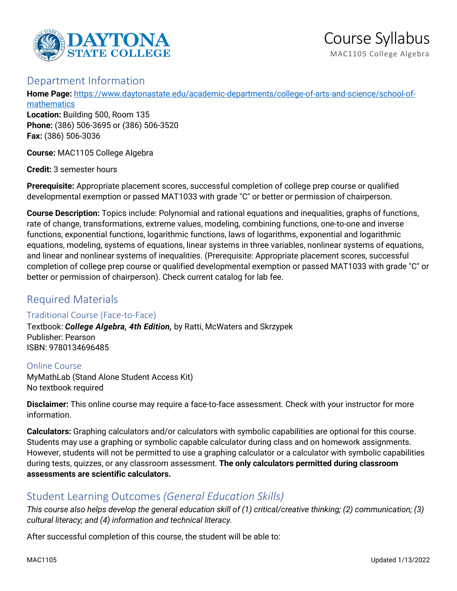

## Department Information

**Home Page:** [https://www.daytonastate.edu/academic-departments/college-of-arts-and-science/school-of](https://www.daytonastate.edu/academic-departments/college-of-arts-and-science/school-of-mathematics)[mathematics](https://www.daytonastate.edu/academic-departments/college-of-arts-and-science/school-of-mathematics)

**Location:** Building 500, Room 135 **Phone:** (386) 506-3695 or (386) 506-3520 **Fax:** (386) 506-3036

**Course:** MAC1105 College Algebra

**Credit:** 3 semester hours

**Prerequisite:** Appropriate placement scores, successful completion of college prep course or qualified developmental exemption or passed MAT1033 with grade "C" or better or permission of chairperson.

**Course Description:** Topics include: Polynomial and rational equations and inequalities, graphs of functions, rate of change, transformations, extreme values, modeling, combining functions, one-to-one and inverse functions, exponential functions, logarithmic functions, laws of logarithms, exponential and logarithmic equations, modeling, systems of equations, linear systems in three variables, nonlinear systems of equations, and linear and nonlinear systems of inequalities. (Prerequisite: Appropriate placement scores, successful completion of college prep course or qualified developmental exemption or passed MAT1033 with grade "C" or better or permission of chairperson). Check current catalog for lab fee.

# Required Materials

#### Traditional Course (Face-to-Face)

Textbook: *College Algebra, 4th Edition,* by Ratti, McWaters and Skrzypek Publisher: Pearson ISBN: 9780134696485

Online Course MyMathLab (Stand Alone Student Access Kit) No textbook required

**Disclaimer:** This online course may require a face-to-face assessment. Check with your instructor for more information.

**Calculators:** Graphing calculators and/or calculators with symbolic capabilities are optional for this course. Students may use a graphing or symbolic capable calculator during class and on homework assignments. However, students will not be permitted to use a graphing calculator or a calculator with symbolic capabilities during tests, quizzes, or any classroom assessment. **The only calculators permitted during classroom assessments are scientific calculators.**

## Student Learning Outcomes *(General Education Skills)*

*This course also helps develop the general education skill of (1) critical/creative thinking; (2) communication; (3) cultural literacy; and (4) information and technical literacy.*

After successful completion of this course, the student will be able to: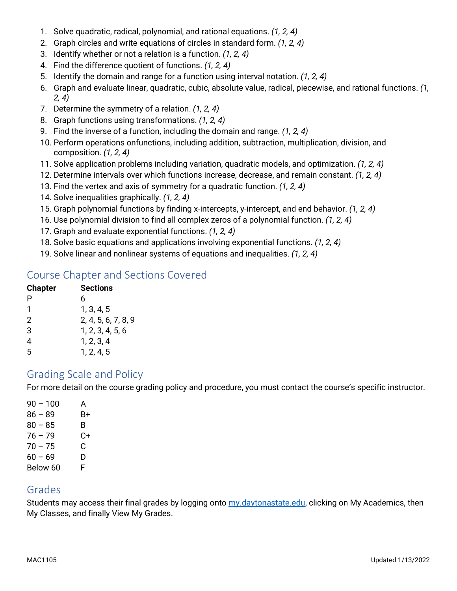- 1. Solve quadratic, radical, polynomial, and rational equations. *(1, 2, 4)*
- 2. Graph circles and write equations of circles in standard form. *(1, 2, 4)*
- 3. Identify whether or not a relation is a function. *(1, 2, 4)*
- 4. Find the difference quotient of functions. *(1, 2, 4)*
- 5. Identify the domain and range for a function using interval notation. *(1, 2, 4)*
- 6. Graph and evaluate linear, quadratic, cubic, absolute value, radical, piecewise, and rational functions. *(1, 2, 4)*
- 7. Determine the symmetry of a relation. *(1, 2, 4)*
- 8. Graph functions using transformations. *(1, 2, 4)*
- 9. Find the inverse of a function, including the domain and range. *(1, 2, 4)*
- 10. Perform operations onfunctions, including addition, subtraction, multiplication, division, and composition. *(1, 2, 4)*
- 11. Solve application problems including variation, quadratic models, and optimization. *(1, 2, 4)*
- 12. Determine intervals over which functions increase, decrease, and remain constant. *(1, 2, 4)*
- 13. Find the vertex and axis of symmetry for a quadratic function. *(1, 2, 4)*
- 14. Solve inequalities graphically. *(1, 2, 4)*
- 15. Graph polynomial functions by finding x-intercepts, y-intercept, and end behavior. *(1, 2, 4)*
- 16. Use polynomial division to find all complex zeros of a polynomial function. *(1, 2, 4)*
- 17. Graph and evaluate exponential functions. *(1, 2, 4)*
- 18. Solve basic equations and applications involving exponential functions. *(1, 2, 4)*
- 19. Solve linear and nonlinear systems of equations and inequalities. *(1, 2, 4)*

## Course Chapter and Sections Covered

| <b>Chapter</b> | Sections            |
|----------------|---------------------|
| P              | 6                   |
| 1              | 1, 3, 4, 5          |
| 2              | 2, 4, 5, 6, 7, 8, 9 |
| 3              | 1, 2, 3, 4, 5, 6    |
| 4              | 1, 2, 3, 4          |
| 5              | 1, 2, 4, 5          |

## Grading Scale and Policy

For more detail on the course grading policy and procedure, you must contact the course's specific instructor.

| $90 - 100$ | А  |
|------------|----|
| $86 - 89$  | B+ |
| $80 - 85$  | B  |
| $76 - 79$  | C+ |
| 70 – 75    | C  |
| $60 - 69$  | D  |
| Below 60   | F  |

## Grades

Students may access their final grades by logging onto [my.daytonastate.edu,](https://my.daytonastate.edu/) clicking on My Academics, then My Classes, and finally View My Grades.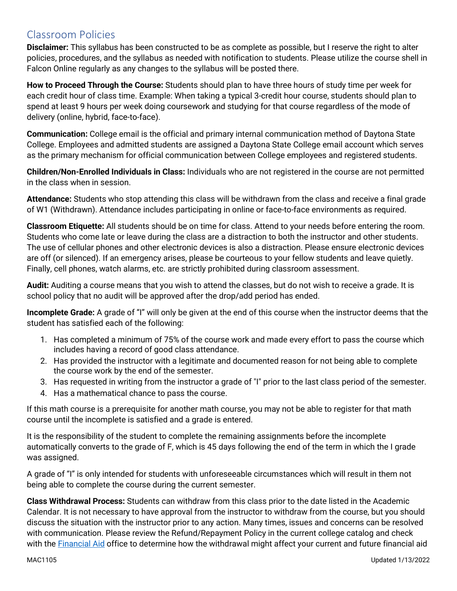# Classroom Policies

**Disclaimer:** This syllabus has been constructed to be as complete as possible, but I reserve the right to alter policies, procedures, and the syllabus as needed with notification to students. Please utilize the course shell in Falcon Online regularly as any changes to the syllabus will be posted there.

**How to Proceed Through the Course:** Students should plan to have three hours of study time per week for each credit hour of class time. Example: When taking a typical 3-credit hour course, students should plan to spend at least 9 hours per week doing coursework and studying for that course regardless of the mode of delivery (online, hybrid, face-to-face).

**Communication:** College email is the official and primary internal communication method of Daytona State College. Employees and admitted students are assigned a Daytona State College email account which serves as the primary mechanism for official communication between College employees and registered students.

**Children/Non-Enrolled Individuals in Class:** Individuals who are not registered in the course are not permitted in the class when in session.

**Attendance:** Students who stop attending this class will be withdrawn from the class and receive a final grade of W1 (Withdrawn). Attendance includes participating in online or face-to-face environments as required.

**Classroom Etiquette:** All students should be on time for class. Attend to your needs before entering the room. Students who come late or leave during the class are a distraction to both the instructor and other students. The use of cellular phones and other electronic devices is also a distraction. Please ensure electronic devices are off (or silenced). If an emergency arises, please be courteous to your fellow students and leave quietly. Finally, cell phones, watch alarms, etc. are strictly prohibited during classroom assessment.

**Audit:** Auditing a course means that you wish to attend the classes, but do not wish to receive a grade. It is school policy that no audit will be approved after the drop/add period has ended.

**Incomplete Grade:** A grade of "I" will only be given at the end of this course when the instructor deems that the student has satisfied each of the following:

- 1. Has completed a minimum of 75% of the course work and made every effort to pass the course which includes having a record of good class attendance.
- 2. Has provided the instructor with a legitimate and documented reason for not being able to complete the course work by the end of the semester.
- 3. Has requested in writing from the instructor a grade of "I" prior to the last class period of the semester.
- 4. Has a mathematical chance to pass the course.

If this math course is a prerequisite for another math course, you may not be able to register for that math course until the incomplete is satisfied and a grade is entered.

It is the responsibility of the student to complete the remaining assignments before the incomplete automatically converts to the grade of F, which is 45 days following the end of the term in which the I grade was assigned.

A grade of "I" is only intended for students with unforeseeable circumstances which will result in them not being able to complete the course during the current semester.

**Class Withdrawal Process:** Students can withdraw from this class prior to the date listed in the Academic Calendar. It is not necessary to have approval from the instructor to withdraw from the course, but you should discuss the situation with the instructor prior to any action. Many times, issues and concerns can be resolved with communication. Please review the Refund/Repayment Policy in the current college catalog and check with the [Financial Aid](https://www.daytonastate.edu/financial-aid) office to determine how the withdrawal might affect your current and future financial aid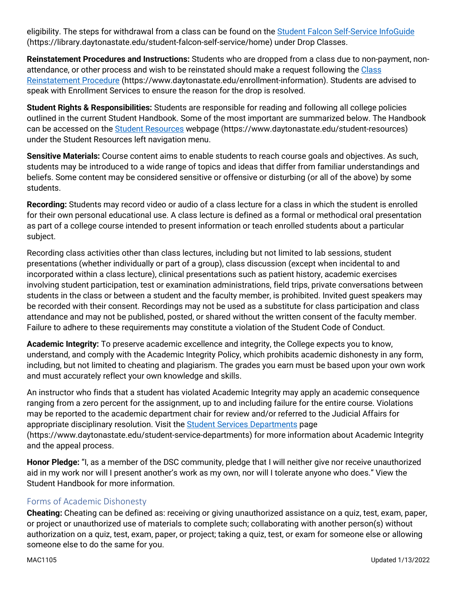eligibility. The steps for withdrawal from a class can be found on the [Student Falcon Self-Service InfoGuide](https://library.daytonastate.edu/student-falcon-self-service/home) (https://library.daytonastate.edu/student-falcon-self-service/home) under Drop Classes.

**Reinstatement Procedures and Instructions:** Students who are dropped from a class due to non-payment, nonattendance, or other process and wish to be reinstated should make a request following the Class [Reinstatement Procedure](https://www.daytonastate.edu/enrollment-information/index.html) (https://www.daytonastate.edu/enrollment-information). Students are advised to speak with Enrollment Services to ensure the reason for the drop is resolved.

**Student Rights & Responsibilities:** Students are responsible for reading and following all college policies outlined in the current Student Handbook. Some of the most important are summarized below. The Handbook can be accessed on the [Student Resources](https://www.daytonastate.edu/student-resources) webpage (https://www.daytonastate.edu/student-resources) under the Student Resources left navigation menu.

**Sensitive Materials:** Course content aims to enable students to reach course goals and objectives. As such, students may be introduced to a wide range of topics and ideas that differ from familiar understandings and beliefs. Some content may be considered sensitive or offensive or disturbing (or all of the above) by some students.

**Recording:** Students may record video or audio of a class lecture for a class in which the student is enrolled for their own personal educational use. A class lecture is defined as a formal or methodical oral presentation as part of a college course intended to present information or teach enrolled students about a particular subject.

Recording class activities other than class lectures, including but not limited to lab sessions, student presentations (whether individually or part of a group), class discussion (except when incidental to and incorporated within a class lecture), clinical presentations such as patient history, academic exercises involving student participation, test or examination administrations, field trips, private conversations between students in the class or between a student and the faculty member, is prohibited. Invited guest speakers may be recorded with their consent. Recordings may not be used as a substitute for class participation and class attendance and may not be published, posted, or shared without the written consent of the faculty member. Failure to adhere to these requirements may constitute a violation of the Student Code of Conduct.

**Academic Integrity:** To preserve academic excellence and integrity, the College expects you to know, understand, and comply with the Academic Integrity Policy, which prohibits academic dishonesty in any form, including, but not limited to cheating and plagiarism. The grades you earn must be based upon your own work and must accurately reflect your own knowledge and skills.

An instructor who finds that a student has violated Academic Integrity may apply an academic consequence ranging from a zero percent for the assignment, up to and including failure for the entire course. Violations may be reported to the academic department chair for review and/or referred to the Judicial Affairs for appropriate disciplinary resolution. Visit the [Student Services Departments](https://www.daytonastate.edu/student-service-departments) page (https://www.daytonastate.edu/student-service-departments) for more information about Academic Integrity and the appeal process.

**Honor Pledge:** "I, as a member of the DSC community, pledge that I will neither give nor receive unauthorized aid in my work nor will I present another's work as my own, nor will I tolerate anyone who does." View the Student Handbook for more information.

#### Forms of Academic Dishonesty

**Cheating:** Cheating can be defined as: receiving or giving unauthorized assistance on a quiz, test, exam, paper, or project or unauthorized use of materials to complete such; collaborating with another person(s) without authorization on a quiz, test, exam, paper, or project; taking a quiz, test, or exam for someone else or allowing someone else to do the same for you.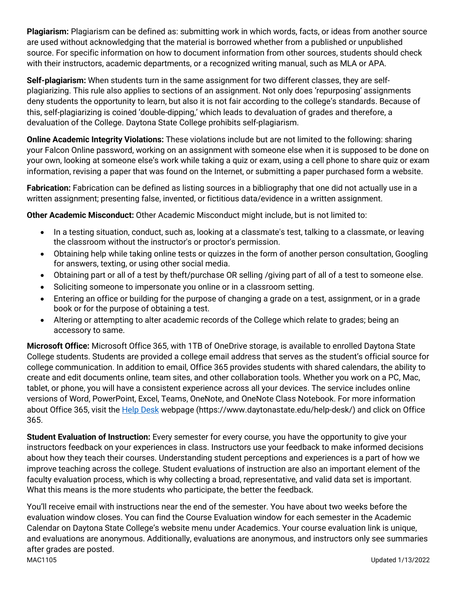**Plagiarism:** Plagiarism can be defined as: submitting work in which words, facts, or ideas from another source are used without acknowledging that the material is borrowed whether from a published or unpublished source. For specific information on how to document information from other sources, students should check with their instructors, academic departments, or a recognized writing manual, such as MLA or APA.

**Self-plagiarism:** When students turn in the same assignment for two different classes, they are selfplagiarizing. This rule also applies to sections of an assignment. Not only does 'repurposing' assignments deny students the opportunity to learn, but also it is not fair according to the college's standards. Because of this, self-plagiarizing is coined 'double-dipping,' which leads to devaluation of grades and therefore, a devaluation of the College. Daytona State College prohibits self-plagiarism.

**Online Academic Integrity Violations:** These violations include but are not limited to the following: sharing your Falcon Online password, working on an assignment with someone else when it is supposed to be done on your own, looking at someone else's work while taking a quiz or exam, using a cell phone to share quiz or exam information, revising a paper that was found on the Internet, or submitting a paper purchased form a website.

**Fabrication:** Fabrication can be defined as listing sources in a bibliography that one did not actually use in a written assignment; presenting false, invented, or fictitious data/evidence in a written assignment.

**Other Academic Misconduct:** Other Academic Misconduct might include, but is not limited to:

- In a testing situation, conduct, such as, looking at a classmate's test, talking to a classmate, or leaving the classroom without the instructor's or proctor's permission.
- Obtaining help while taking online tests or quizzes in the form of another person consultation, Googling for answers, texting, or using other social media.
- Obtaining part or all of a test by theft/purchase OR selling /giving part of all of a test to someone else.
- Soliciting someone to impersonate you online or in a classroom setting.
- Entering an office or building for the purpose of changing a grade on a test, assignment, or in a grade book or for the purpose of obtaining a test.
- Altering or attempting to alter academic records of the College which relate to grades; being an accessory to same.

**Microsoft Office:** Microsoft Office 365, with 1TB of OneDrive storage, is available to enrolled Daytona State College students. Students are provided a college email address that serves as the student's official source for college communication. In addition to email, Office 365 provides students with shared calendars, the ability to create and edit documents online, team sites, and other collaboration tools. Whether you work on a PC, Mac, tablet, or phone, you will have a consistent experience across all your devices. The service includes online versions of Word, PowerPoint, Excel, Teams, OneNote, and OneNote Class Notebook. For more information about Office 365, visit the [Help Desk](https://www.daytonastate.edu/help-desk/) webpage (https://www.daytonastate.edu/help-desk/) and click on Office 365.

**Student Evaluation of Instruction:** Every semester for every course, you have the opportunity to give your instructors feedback on your experiences in class. Instructors use your feedback to make informed decisions about how they teach their courses. Understanding student perceptions and experiences is a part of how we improve teaching across the college. Student evaluations of instruction are also an important element of the faculty evaluation process, which is why collecting a broad, representative, and valid data set is important. What this means is the more students who participate, the better the feedback.

MAC1105 Updated 1/13/2022 You'll receive email with instructions near the end of the semester. You have about two weeks before the evaluation window closes. You can find the Course Evaluation window for each semester in the Academic Calendar on Daytona State College's website menu under Academics. Your course evaluation link is unique, and evaluations are anonymous. Additionally, evaluations are anonymous, and instructors only see summaries after grades are posted.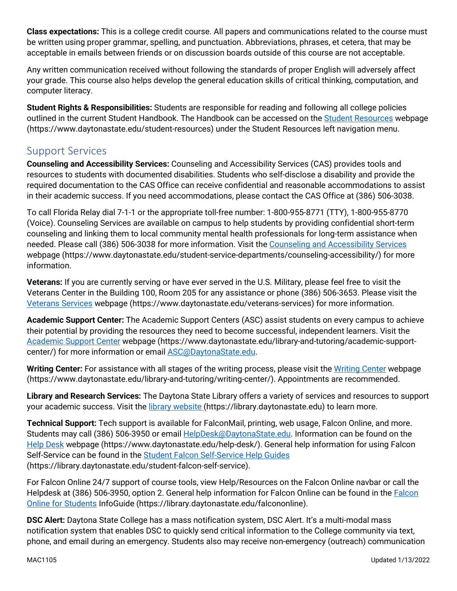**Class expectations:** This is a college credit course. All papers and communications related to the course must be written using proper grammar, spelling, and punctuation. Abbreviations, phrases, et cetera, that may be acceptable in emails between friends or on discussion boards outside of this course are not acceptable.

Any written communication received without following the standards of proper English will adversely affect your grade. This course also helps develop the general education skills of critical thinking, computation, and computer literacy.

**Student Rights & Responsibilities:** Students are responsible for reading and following all college policies outlined in the current Student Handbook. The Handbook can be accessed on the [Student Resources](https://www.daytonastate.edu/student-resources) webpage (https://www.daytonastate.edu/student-resources) under the Student Resources left navigation menu.

## Support Services

**Counseling and Accessibility Services:** Counseling and Accessibility Services (CAS) provides tools and resources to students with documented disabilities. Students who self-disclose a disability and provide the required documentation to the CAS Office can receive confidential and reasonable accommodations to assist in their academic success. If you need accommodations, please contact the CAS Office at (386) 506-3038.

To call Florida Relay dial 7-1-1 or the appropriate toll-free number: 1-800-955-8771 (TTY), 1-800-955-8770 (Voice). Counseling Services are available on campus to help students by providing confidential short-term counseling and linking them to local community mental health professionals for long-term assistance when needed. Please call (386) 506-3038 for more information. Visit the [Counseling and Accessibility Services](https://www.daytonastate.edu/student-service-departments/counseling-accessibility/) webpage (https://www.daytonastate.edu/student-service-departments/counseling-accessibility/) for more information.

**Veterans:** If you are currently serving or have ever served in the U.S. Military, please feel free to visit the Veterans Center in the Building 100, Room 205 for any assistance or phone (386) 506-3653. Please visit the [Veterans Services](https://www.daytonastate.edu/veterans-services) webpage (https://www.daytonastate.edu/veterans-services) for more information.

**Academic Support Center:** The Academic Support Centers (ASC) assist students on every campus to achieve their potential by providing the resources they need to become successful, independent learners. Visit the [Academic Support Center](https://www.daytonastate.edu/library-and-tutoring/academic-support-center/index.html) webpage (https://www.daytonastate.edu/library-and-tutoring/academic-supportcenter/) for more information or email [ASC@DaytonaState.edu.](mailto:ASC@DaytonaState.edu)

Writing Center: For assistance with all stages of the writing process, please visit the [Writing Center](https://www.daytonastate.edu/library-and-tutoring/writing-center/) webpage (https://www.daytonastate.edu/library-and-tutoring/writing-center/). Appointments are recommended.

**Library and Research Services:** The Daytona State Library offers a variety of services and resources to support your academic success. Visit the [library website \(](https://library.daytonastate.edu/index)https://library.daytonastate.edu) to learn more.

**Technical Support:** Tech support is available for FalconMail, printing, web usage, Falcon Online, and more. Students may call (386) 506-3950 or email **HelpDesk@DaytonaState.edu**. Information can be found on the [Help Desk](https://www.daytonastate.edu/help-desk/) webpage (https://www.daytonastate.edu/help-desk/). General help information for using Falcon Self-Service can be found in the [Student Falcon Self-Service Help Guides](https://library.daytonastate.edu/student-falcon-self-service) (https://library.daytonastate.edu/student-falcon-self-service).

For Falcon Online 24/7 support of course tools, view Help/Resources on the Falcon Online navbar or call the Helpdesk at (386) 506-3950, option 2. General help information for Falcon Online can be found in the [Falcon](https://library.daytonastate.edu/falcononline)  [Online for Students](https://library.daytonastate.edu/falcononline) InfoGuide (https://library.daytonastate.edu/falcononline).

**DSC Alert:** Daytona State College has a mass notification system, DSC Alert. It's a multi-modal mass notification system that enables DSC to quickly send critical information to the College community via text, phone, and email during an emergency. Students also may receive non-emergency (outreach) communication